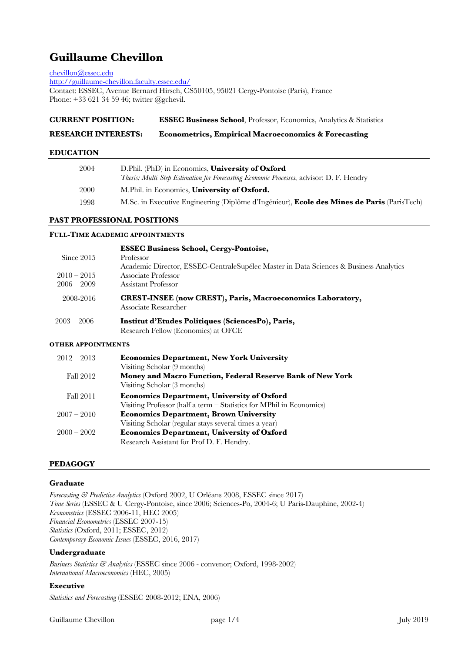# **Guillaume Chevillon**

chevillon@essec.edu http://guillaume-chevillon.faculty.essec.edu/ Contact: ESSEC, Avenue Bernard Hirsch, CS50105, 95021 Cergy-Pontoise (Paris), France Phone: +33 621 34 59 46; twitter @gchevil.

| <b>CURRENT POSITION:</b>   | <b>ESSEC Business School</b> , Professor, Economics, Analytics & Statistics |
|----------------------------|-----------------------------------------------------------------------------|
| <b>RESEARCH INTERESTS:</b> | <b>Econometrics, Empirical Macroeconomics &amp; Forecasting</b>             |

#### **EDUCATION**

| 2004 | D.Phil. (PhD) in Economics, <b>University of Oxford</b><br><i>Thesis: Multi-Step Estimation for Forecasting Economic Processes, advisor: D. F. Hendry</i> |
|------|-----------------------------------------------------------------------------------------------------------------------------------------------------------|
| 2000 | M.Phil. in Economics, University of Oxford.                                                                                                               |
| 1998 | M.Sc. in Executive Engineering (Diplôme d'Ingénieur), Ecole des Mines de Paris (Paris Tech)                                                               |

## **PAST PROFESSIONAL POSITIONS**

#### **FULL-TIME ACADEMIC APPOINTMENTS**

|               | <b>ESSEC Business School, Cergy-Pontoise,</b>                                         |
|---------------|---------------------------------------------------------------------------------------|
| Since 2015    | Professor                                                                             |
|               | Academic Director, ESSEC-CentraleSupélec Master in Data Sciences & Business Analytics |
| $2010 - 2015$ | Associate Professor                                                                   |
| $2006 - 2009$ | Assistant Professor                                                                   |
| 2008-2016     | CREST-INSEE (now CREST), Paris, Macroeconomics Laboratory,<br>Associate Researcher    |
| $2003 - 2006$ | Institut d'Etudes Politiques (SciencesPo), Paris,                                     |
|               | Research Fellow (Economics) at OFCE                                                   |

#### **OTHER APPOINTMENTS**

| $2012 - 2013$    | <b>Economics Department, New York University</b>                     |
|------------------|----------------------------------------------------------------------|
|                  | Visiting Scholar (9 months)                                          |
| Fall 2012        | <b>Money and Macro Function, Federal Reserve Bank of New York</b>    |
|                  | Visiting Scholar (3 months)                                          |
| <b>Fall 2011</b> | <b>Economics Department, University of Oxford</b>                    |
|                  | Visiting Professor (half a term - Statistics for MPhil in Economics) |
| $2007 - 2010$    | <b>Economics Department, Brown University</b>                        |
|                  | Visiting Scholar (regular stays several times a year)                |
| $2000 - 2002$    | <b>Economics Department, University of Oxford</b>                    |
|                  | Research Assistant for Prof D. F. Hendry.                            |

## **PEDAGOGY**

## **Graduate**

*Forecasting & Predictive Analytics* (Oxford 2002, U Orléans 2008, ESSEC since 2017) *Time Series* (ESSEC & U Cergy-Pontoise, since 2006; Sciences-Po, 2004-6; U Paris-Dauphine, 2002-4) *Econometrics* (ESSEC 2006-11, HEC 2005) *Financial Econometrics* (ESSEC 2007-15) *Statistics* (Oxford, 2011; ESSEC, 2012) *Contemporary Economic Issues* (ESSEC, 2016, 2017)

#### **Undergraduate**

*Business Statistics & Analytics* (ESSEC since 2006 - convenor; Oxford, 1998-2002) *International Macroeconomics* (HEC, 2005)

#### **Executive**

*Statistics and Forecasting* (ESSEC 2008-2012; ENA, 2006)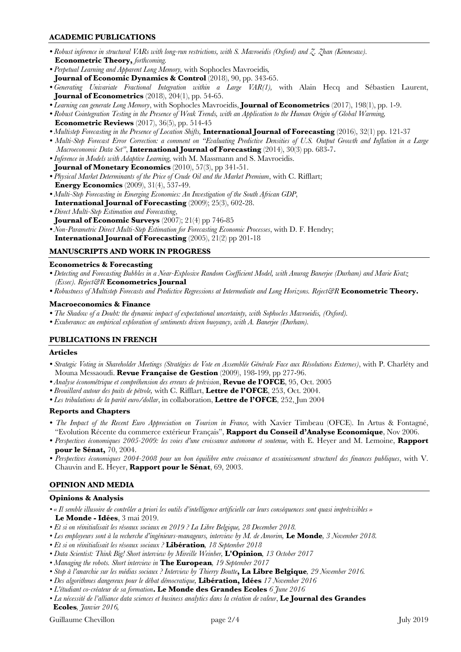## **ACADEMIC PUBLICATIONS**

- *• Robust inference in structural VARs with long-run restrictions, with S. Mavroeidis (Oxford) and Z. Zhan (Kennesaw).* **Econometric Theory,** *forthcoming.*
- *• Perpetual Learning and Apparent Long Memory,* with Sophocles Mavroeidis*,*
- **Journal of Economic Dynamics & Control** (2018), 90, pp. 343-65.
- *• Generating Univariate Fractional Integration within a Large VAR(1),* with Alain Hecq and Sébastien Laurent, **Journal of Econometrics** (2018), 204(1), pp. 54-65.
- *• Learning can generate Long Memory*, with Sophocles Mavroeidis, **Journal of Econometrics** (2017), 198(1), pp. 1-9.
- *Robust Cointegration Testing in the Presence of Weak Trends, with an Application to the Human Origin of Global Warming,*  **Econometric Reviews** (2017), 36(5), pp. 514-45
- *Multistep Forecasting in the Presence of Location Shifts,* **International Journal of Forecasting** (2016), 32(1) pp. 121-37
- *• Multi-Step Forecast Error Correction: a comment on "Evaluating Predictive Densities of U.S. Output Growth and Inflation in a Large Macroeconomic Data Set"*, **International Journal of Forecasting** (2014), 30(3) pp. 683-7*.*
- *• Inference in Models with Adaptive Learning,* with M. Massmann and S. Mavroeidis. **Journal of Monetary Economics** (2010), 57(3), pp 341-51.
- *• Physical Market Determinants of the Price of Crude Oil and the Market Premium*, with C. Rifflart; **Energy Economics** (2009), 31(4), 537-49.
- *• Multi-Step Forecasting in Emerging Economies: An Investigation of the South African GDP*, **International Journal of Forecasting** (2009); 25(3), 602-28.
- *• Direct Multi-Step Estimation and Forecasting*, **Journal of Economic Surveys** (2007); 21(4) pp 746-85
- *• Non-Parametric Direct Multi-Step Estimation for Forecasting Economic Processes*, with D. F. Hendry; **International Journal of Forecasting** (2005), 21(2) pp 201-18

## **MANUSCRIPTS AND WORK IN PROGRESS**

#### **Econometrics & Forecasting**

- *• Detecting and Forecasting Bubbles in a Near-Explosive Random Coefficient Model, with Anurag Banerjee (Durham) and Marie Kratz (Essec). Reject&R* **Econometrics Journal**
- *• Robustness of Multistep Forecasts and Predictive Regressions at Intermediate and Long Horizons. Reject&R* **Econometric Theory.**

#### **Macroeconomics & Finance**

- *• The Shadow of a Doubt: the dynamic impact of expectational uncertainty, with Sophocles Mavroeidis, (Oxford).*
- *• Exuberance: an empirical exploration of sentiments driven buoyancy, with A. Banerjee (Durham).*

# **PUBLICATIONS IN FRENCH**

#### **Articles**

- *• Strategic Voting in Shareholder Meetings (Stratégies de Vote en Assemblée Générale Face aux Résolutions Externes)*, with P. Charléty and Mouna Messaoudi. **Revue Française de Gestion** (2009), 198-199, pp 277-96.
- *• Analyse économétrique et compréhension des erreurs de prévision*, **Revue de l'OFCE**, 95, Oct. 2005
- *• Brouillard autour des puits de pétrole,* with C. Rifflart, **Lettre de l'OFCE**, 253, Oct. 2004.
- *• Les tribulations de la parité euro/dollar*, in collaboration, **Lettre de l'OFCE**, 252, Jun 2004

#### **Reports and Chapters**

- *• The Impact of the Recent Euro Appreciation on Tourism in France,* with Xavier Timbeau (OFCE). In Artus & Fontagné, "Evolution Récente du commerce extérieur Français", **Rapport du Conseil d'Analyse Economique**, Nov 2006.
- *• Perspectives économiques 2005-2009: les voies d'une croissance autonome et soutenue,* with E. Heyer and M. Lemoine, **Rapport pour le Sénat,** 70, 2004.
- *• Perspectives économiques 2004-2008 pour un bon équilibre entre croissance et assainissement structurel des finances publiques*, with V. Chauvin and E. Heyer, **Rapport pour le Sénat**, 69, 2003.

## **OPINION AND MEDIA**

#### **Opinions & Analysis**

- *• « Il semble illusoire de contrôler a priori les outils d'intelligence artificielle car leurs conséquences sont quasi imprévisibles »* **Le Monde - Idées**, 3 mai 2019.
- *• Et si on réinitialisait les réseaux sociaux en 2019 ? La Libre Belgique, 28 December 2018.*
- *• Les employeurs sont à la recherche d'ingénieurs-manageurs, interview by M. de Amorim,* **Le Monde***, 3 November 2018.*
- *• Et si on réinitialisait les réseaux sociaux ?* **Libération***, 18 September 2018*
- *• Data Scientist: Think Big! Short interview by Mireille Weinber,* **L'Opinion***, 13 October 2017*
- *• Managing the robots. Short interview in* **The European***, 19 September 2017*
- *• Stop à l'anarchie sur les médias sociaux ? Interview by Thierry Boutte***, La Libre Belgique***, 29 November 2016.*
- *• Des algorithmes dangereux pour le débat démocratique,* **Libération, Idées** *17 November 2016*
- *L'étudiant co-créateur de sa formation***. Le Monde des Grandes Ecoles** *6 June 2016*
- *La nécessité de l'alliance data sciences et business analytics dans la création de valeur*, **Le Journal des Grandes Ecoles***, Janvier 2016,*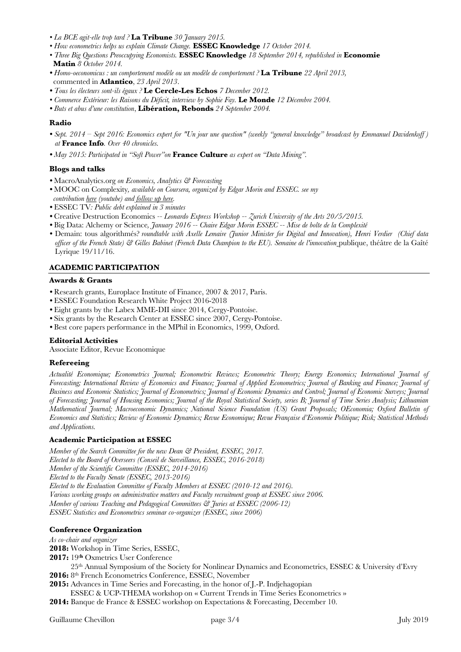- *La BCE agit-elle trop tard ?* **La Tribune** *30 January 2015.*
- *How econometrics helps us explain Climate Change.* **ESSEC Knowledge** *17 October 2014.*
- *Three Big Questions Preoccupying Economists.* **ESSEC Knowledge** *18 September 2014, republished in* **Economie**  **Matin** *8 October 2014.*
- *• Homo-oeconomicus : un comportement modèle ou un modèle de comportement ?* **La Tribune** *22 April 2013,* commented in **Atlantico**, *23 April 2013*.
- *Tous les électeurs sont-ils égaux ?* **Le Cercle-Les Echos** *7 December 2012.*
- *Commerce Extérieur: les Raisons du Déficit, interview by Sophie Fay.* **Le Monde** *12 Décembre 2004.*
- *• Buts et abus d'une constitution*, **Libération, Rebonds** *24 September 2004.*

#### **Radio**

- *• Sept. 2014 – Sept 2016: Economics expert for "Un jour une question" (weekly "general knowledge" broadcast by Emmanuel Davidenkoff ) at* **France Info***. Over 40 chronicles.*
- *• May 2015: Participated in "Soft Power"on* **France Culture** *as expert on "Data Mining".*

#### **Blogs and talks**

- *•* MacroAnalytics.org *on Economics, Analytics & Forecasting*
- *•* MOOC on Complexity*, available on Coursera, organized by Edgar Morin and ESSEC. see my contribution here (youtube) and follow up here.*
- *•* ESSEC TV*: Public debt explained in 3 minutes*
- Creative Destruction Economics *-- Leonardo Express Workshop -- Zurich University of the Arts 20/5/2015.*
- Big Data: Alchemy or Science*, January 2016 -- Chaire Edgar Morin ESSEC -- Mise de boîte de la Complexité*
- *•* Demain: tous algorithmés? *roundtable with Axelle Lemaire (Junior Minister for Digital and Innovation), Henri Verdier (Chief data officer of the French State) & Gilles Babinet (French Data Champion to the EU). Semaine de l'innovation* publique, théâtre de la Gaîté Lyrique 19/11/16.

## **ACADEMIC PARTICIPATION**

#### **Awards & Grants**

- *•* Research grants, Europlace Institute of Finance, 2007 & 2017, Paris.
- ESSEC Foundation Research White Project 2016-2018
- *•* Eight grants by the Labex MME-DII since 2014, Cergy-Pontoise.
- *•* Six grants by the Research Center at ESSEC since 2007, Cergy-Pontoise.
- *•* Best core papers performance in the MPhil in Economics, 1999, Oxford.

#### **Editorial Activities**

Associate Editor, Revue Economique

#### **Refereeing**

*Actualité Economique; Econometrics Journal; Econometric Reviews; Econometric Theory; Energy Economics; International Journal of Forecasting; International Review of Economics and Finance; Journal of Applied Econometrics; Journal of Banking and Finance; Journal of Business and Economic Statistics; Journal of Econometrics; Journal of Economic Dynamics and Control; Journal of Economic Surveys; Journal of Forecasting; Journal of Housing Economics; Journal of the Royal Statistical Society, series B; Journal of Time Series Analysis; Lithuanian Mathematical Journal; Macroeconomic Dynamics; National Science Foundation (US) Grant Proposals; OEconomia; Oxford Bulletin of Economics and Statistics; Review of Economic Dynamics; Revue Economique; Revue Française d'Economie Politique; Risk; Statistical Methods and Applications.*

#### **Academic Participation at ESSEC**

*Member of the Search Committee for the new Dean & President, ESSEC, 2017. Elected to the Board of Overseers (Conseil de Surveillance, ESSEC, 2016-2018) Member of the Scientific Committee (ESSEC, 2014-2016) Elected to the Faculty Senate (ESSEC, 2013-2016) Elected to the Evaluation Committee of Faculty Members at ESSEC (2010-12 and 2016). Various working groups on administrative matters and Faculty recruitment group at ESSEC since 2006. Member of various Teaching and Pedagogical Committees & Juries at ESSEC (2006-12) ESSEC Statistics and Econometrics seminar co-organizer (ESSEC, since 2006)*

#### **Conference Organization**

- *As co-chair and organizer*
- **2018:** Workshop in Time Series, ESSEC,
- **2017:** 19t**<sup>h</sup>** Oxmetrics User Conference
- 25th Annual Symposium of the Society for Nonlinear Dynamics and Econometrics, ESSEC & University d'Evry **2016:** 8th French Econometrics Conference, ESSEC, November
- **2015:** Advances in Time Series and Forecasting, in the honor of J.-P. Indjehagopian
- ESSEC & UCP-THEMA workshop on « Current Trends in Time Series Econometrics »
- **2014:** Banque de France & ESSEC workshop on Expectations & Forecasting, December 10.